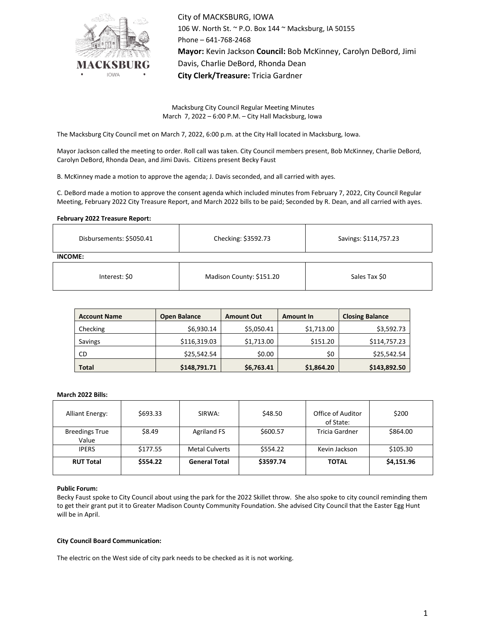

City of MACKSBURG, IOWA 106 W. North St. ~ P.O. Box 144 ~ Macksburg, IA 50155 Phone – 641-768-2468 **Mayor:** Kevin Jackson **Council:** Bob McKinney, Carolyn DeBord, Jimi Davis, Charlie DeBord, Rhonda Dean **City Clerk/Treasure:** Tricia Gardner

Macksburg City Council Regular Meeting Minutes March 7, 2022 – 6:00 P.M. – City Hall Macksburg, Iowa

The Macksburg City Council met on March 7, 2022, 6:00 p.m. at the City Hall located in Macksburg, Iowa.

Mayor Jackson called the meeting to order. Roll call was taken. City Council members present, Bob McKinney, Charlie DeBord, Carolyn DeBord, Rhonda Dean, and Jimi Davis. Citizens present Becky Faust

B. McKinney made a motion to approve the agenda; J. Davis seconded, and all carried with ayes.

C. DeBord made a motion to approve the consent agenda which included minutes from February 7, 2022, City Council Regular Meeting, February 2022 City Treasure Report, and March 2022 bills to be paid; Seconded by R. Dean, and all carried with ayes.

# **February 2022 Treasure Report:**

| Disbursements: \$5050.41 | Checking: \$3592.73      | Savings: \$114,757.23 |  |  |  |  |  |
|--------------------------|--------------------------|-----------------------|--|--|--|--|--|
| INCOME:                  |                          |                       |  |  |  |  |  |
| Interest: \$0            | Madison County: \$151.20 | Sales Tax \$0         |  |  |  |  |  |

| <b>Account Name</b> | <b>Open Balance</b> | <b>Amount Out</b> | <b>Amount In</b> | <b>Closing Balance</b> |  |
|---------------------|---------------------|-------------------|------------------|------------------------|--|
| Checking            | \$6,930.14          | \$5,050.41        | \$1,713.00       | \$3,592.73             |  |
| Savings             | \$116,319.03        | \$1,713.00        | \$151.20         | \$114,757.23           |  |
| CD                  | \$25,542.54         | \$0.00            | \$0              | \$25,542.54            |  |
| <b>Total</b>        | \$148,791.71        | \$6,763.41        | \$1,864.20       | \$143,892.50           |  |

#### **March 2022 Bills:**

| <b>Alliant Energy:</b>         | \$693.33 | SIRWA:                | \$48.50   | Office of Auditor<br>of State: | \$200      |
|--------------------------------|----------|-----------------------|-----------|--------------------------------|------------|
| <b>Breedings True</b><br>Value | \$8.49   | <b>Agriland FS</b>    | \$600.57  | Tricia Gardner                 | \$864.00   |
| <b>IPERS</b>                   | \$177.55 | <b>Metal Culverts</b> | \$554.22  | Kevin Jackson                  | \$105.30   |
| <b>RUT Total</b>               | \$554.22 | <b>General Total</b>  | \$3597.74 | <b>TOTAL</b>                   | \$4,151.96 |

# **Public Forum:**

Becky Faust spoke to City Council about using the park for the 2022 Skillet throw. She also spoke to city council reminding them to get their grant put it to Greater Madison County Community Foundation. She advised City Council that the Easter Egg Hunt will be in April.

### **City Council Board Communication:**

The electric on the West side of city park needs to be checked as it is not working.